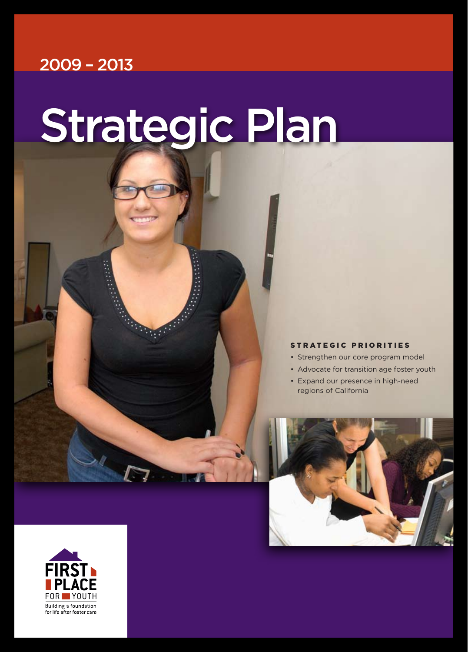# 2009 – 2013

# Strategic Plan

**Sold** 

# STRATEGIC PRIORITIES

- Strengthen our core program model
- Advocate for transition age foster youth
- Expand our presence in high-need regions of California



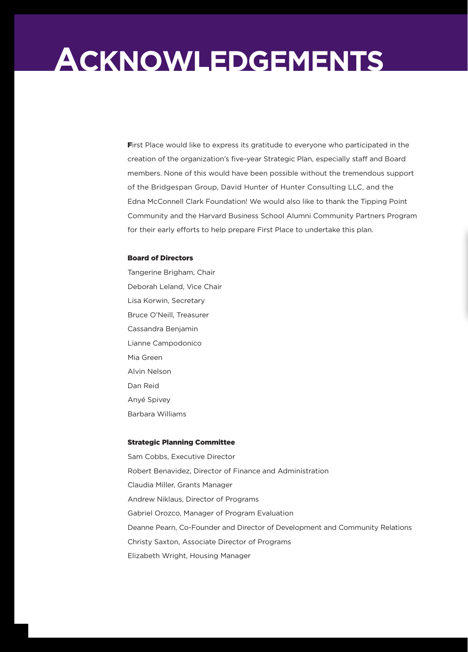# **Acknowledgements**

First Place would like to express its gratitude to everyone who participated in the creation of the organization's five-year Strategic Plan, especially staff and Board members. None of this would have been possible without the tremendous support of the Bridgespan Group, David Hunter of Hunter Consulting LLC, and the Edna McConnell Clark Foundation! We would also like to thank the Tipping Point Community and the Harvard Business School Alumni Community Partners Program for their early efforts to help prepare First Place to undertake this plan.

# Board of Directors

Tangerine Brigham, Chair Deborah Leland, Vice Chair Lisa Korwin, Secretary Bruce O'Neill, Treasurer Cassandra Benjamin Lianne Campodonico Mia Green Alvin Nelson Dan Reid Anyé Spivey Barbara Williams

# Strategic Planning Committee

Sam Cobbs, Executive Director Robert Benavidez, Director of Finance and Administration Claudia Miller, Grants Manager Andrew Niklaus, Director of Programs Gabriel Orozco, Manager of Program Evaluation Deanne Pearn, Co-Founder and Director of Development and Community Relations Christy Saxton, Associate Director of Programs Elizabeth Wright, Housing Manager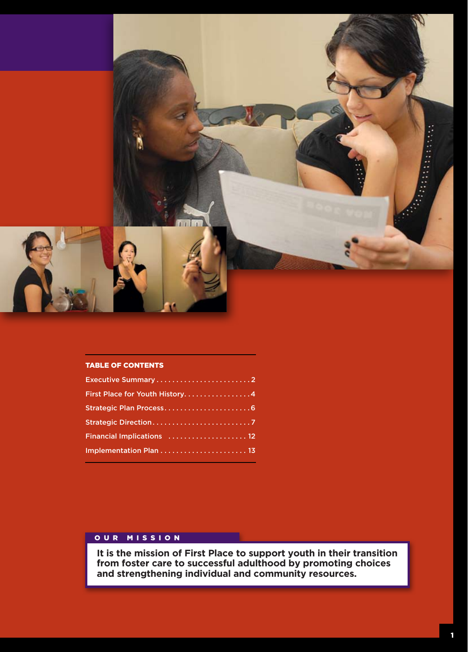

# TABLE OF CONTENTS

| Executive Summary2             |
|--------------------------------|
| First Place for Youth History4 |
| Strategic Plan Process6        |
|                                |
| Financial Implications  12     |
|                                |
|                                |

# OUR MISSION

**It is the mission of First Place to support youth in their transition from foster care to successful adulthood by promoting choices and strengthening individual and community resources.**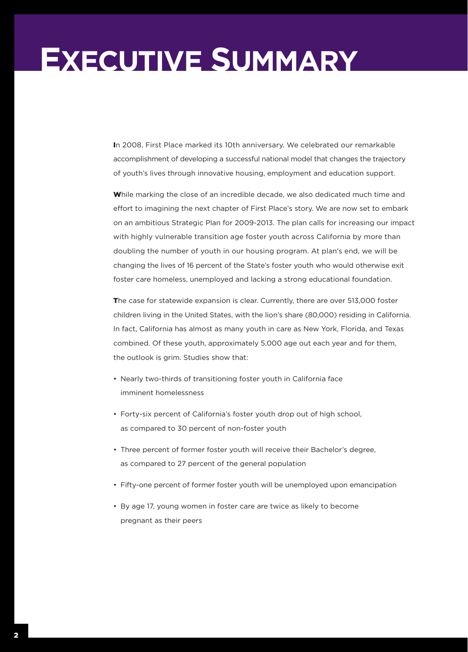# **Executive Summary**

In 2008, First Place marked its 10th anniversary. We celebrated our remarkable accomplishment of developing a successful national model that changes the trajectory of youth's lives through innovative housing, employment and education support.

While marking the close of an incredible decade, we also dedicated much time and effort to imagining the next chapter of First Place's story. We are now set to embark on an ambitious Strategic Plan for 2009-2013. The plan calls for increasing our impact with highly vulnerable transition age foster youth across California by more than doubling the number of youth in our housing program. At plan's end, we will be changing the lives of 16 percent of the State's foster youth who would otherwise exit foster care homeless, unemployed and lacking a strong educational foundation.

The case for statewide expansion is clear. Currently, there are over 513,000 foster children living in the United States, with the lion's share (80,000) residing in California. In fact, California has almost as many youth in care as New York, Florida, and Texas combined. Of these youth, approximately 5,000 age out each year and for them, the outlook is grim. Studies show that:

- Nearly two-thirds of transitioning foster youth in California face imminent homelessness
- Forty-six percent of California's foster youth drop out of high school, as compared to 30 percent of non-foster youth
- Three percent of former foster youth will receive their Bachelor's degree, as compared to 27 percent of the general population
- • Fifty-one percent of former foster youth will be unemployed upon emancipation
- By age 17, young women in foster care are twice as likely to become pregnant as their peers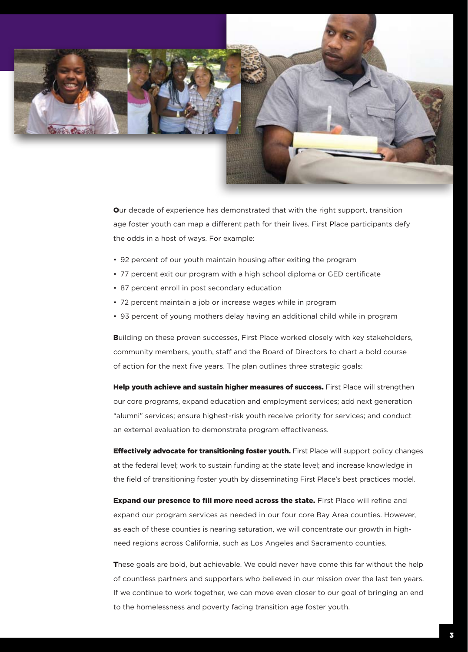

Our decade of experience has demonstrated that with the right support, transition age foster youth can map a different path for their lives. First Place participants defy the odds in a host of ways. For example:

- 92 percent of our youth maintain housing after exiting the program
- 77 percent exit our program with a high school diploma or GED certificate
- 87 percent enroll in post secondary education
- 72 percent maintain a job or increase wages while in program
- 93 percent of young mothers delay having an additional child while in program

Building on these proven successes, First Place worked closely with key stakeholders, community members, youth, staff and the Board of Directors to chart a bold course of action for the next five years. The plan outlines three strategic goals:

Help youth achieve and sustain higher measures of success. First Place will strengthen our core programs, expand education and employment services; add next generation "alumni" services; ensure highest-risk youth receive priority for services; and conduct an external evaluation to demonstrate program effectiveness.

**Effectively advocate for transitioning foster youth.** First Place will support policy changes at the federal level; work to sustain funding at the state level; and increase knowledge in the field of transitioning foster youth by disseminating First Place's best practices model.

**Expand our presence to fill more need across the state.** First Place will refine and expand our program services as needed in our four core Bay Area counties. However, as each of these counties is nearing saturation, we will concentrate our growth in highneed regions across California, such as Los Angeles and Sacramento counties.

These goals are bold, but achievable. We could never have come this far without the help of countless partners and supporters who believed in our mission over the last ten years. If we continue to work together, we can move even closer to our goal of bringing an end to the homelessness and poverty facing transition age foster youth.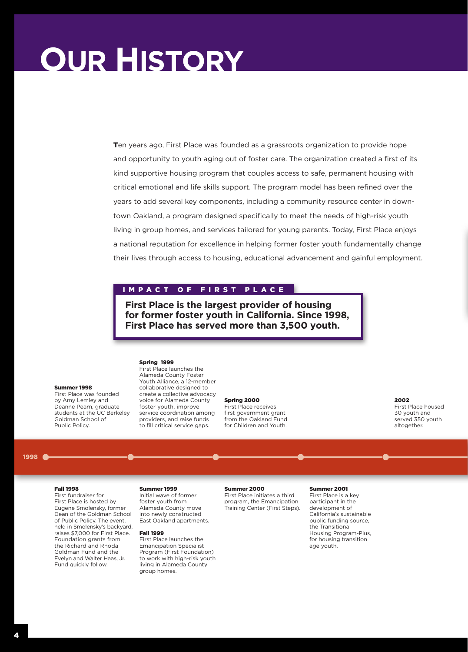# **Our History**

Ten years ago, First Place was founded as a grassroots organization to provide hope and opportunity to youth aging out of foster care. The organization created a first of its kind supportive housing program that couples access to safe, permanent housing with critical emotional and life skills support. The program model has been refined over the years to add several key components, including a community resource center in downtown Oakland, a program designed specifically to meet the needs of high-risk youth living in group homes, and services tailored for young parents. Today, First Place enjoys a national reputation for excellence in helping former foster youth fundamentally change their lives through access to housing, educational advancement and gainful employment.

# IMPACT OF FIRST PLACE

**First Place is the largest provider of housing for former foster youth in California. Since 1998, First Place has served more than 3,500 youth.**

## Spring 1999

Summer 1998 First Place was founded by Amy Lemley and Deanne Pearn, graduate students at the UC Berkeley Goldman School of Public Policy.

First Place launches the Alameda County Foster Youth Alliance, a 12-member collaborative designed to create a collective advocacy voice for Alameda County foster youth, improve service coordination among providers, and raise funds to fill critical service gaps.

### Spring 2000

First Place receives first government grant from the Oakland Fund for Children and Youth.

2002 First Place housed 30 youth and served 350 youth altogether.

### 1998

# Fall 1998

First fundraiser for First Place is hosted by Eugene Smolensky, former Dean of the Goldman School of Public Policy. The event, held in Smolensky's backyard, raises \$7,000 for First Place. Foundation grants from the Richard and Rhoda Goldman Fund and the Evelyn and Walter Haas, Jr. Fund quickly follow.

# Initial wave of former

foster youth from Alameda County move into newly constructed East Oakland apartments.

# Fall 1999

Summer 1999

First Place launches the Emancipation Specialist Program (First Foundation) to work with high-risk youth living in Alameda County group homes.

## Summer 2000

First Place initiates a third program, the Emancipation Training Center (First Steps).

## Summer 2001

First Place is a key participant in the development of California's sustainable public funding source, the Transitional Housing Program-Plus, for housing transition age youth.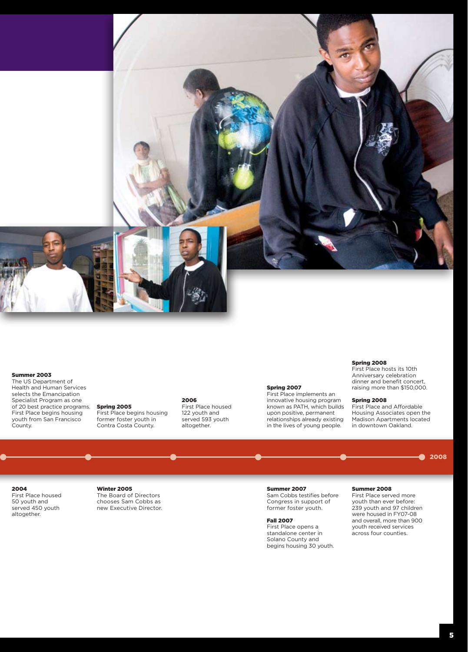

## Summer 2003

The US Department of Health and Human Services selects the Emancipation Specialist Program as one of 20 best practice programs. First Place begins housing youth from San Francisco County.

# 2006

First Place begins housing Contra Costa County. First Place housed 122 youth and served 593 youth altogether.

#### Spring 2007

First Place implements an innovative housing program known as PATH, which builds upon positive, permanent relationships already existing in the lives of young people.

## Spring 2008

First Place hosts its 10th Anniversary celebration dinner and benefit concert, raising more than \$150,000.

#### Spring 2008

First Place and Affordable Housing Associates open the Madison Apartments located in downtown Oakland.

> 2008۰

2004 First Place housed 50 youth and served 450 youth altogether.

# Winter 2005

Spring 2005

former foster youth in

The Board of Directors chooses Sam Cobbs as new Executive Director.

# Summer 2007

Sam Cobbs testifies before Congress in support of former foster youth.

# Fall 2007

First Place opens a standalone center in Solano County and begins housing 30 youth.

# Summer 2008

First Place served more youth than ever before: 239 youth and 97 children were housed in FY07-08 and overall, more than 900 youth received services across four counties.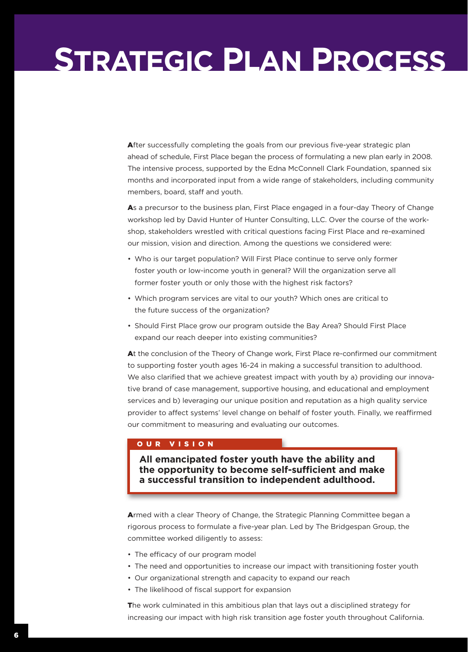# **Strategic Plan Process**

After successfully completing the goals from our previous five-year strategic plan ahead of schedule, First Place began the process of formulating a new plan early in 2008. The intensive process, supported by the Edna McConnell Clark Foundation, spanned six months and incorporated input from a wide range of stakeholders, including community members, board, staff and youth.

As a precursor to the business plan, First Place engaged in a four-day Theory of Change workshop led by David Hunter of Hunter Consulting, LLC. Over the course of the workshop, stakeholders wrestled with critical questions facing First Place and re-examined our mission, vision and direction. Among the questions we considered were:

- Who is our target population? Will First Place continue to serve only former foster youth or low-income youth in general? Will the organization serve all former foster youth or only those with the highest risk factors?
- Which program services are vital to our youth? Which ones are critical to the future success of the organization?
- Should First Place grow our program outside the Bay Area? Should First Place expand our reach deeper into existing communities?

At the conclusion of the Theory of Change work, First Place re-confirmed our commitment to supporting foster youth ages 16-24 in making a successful transition to adulthood. We also clarified that we achieve greatest impact with youth by a) providing our innovative brand of case management, supportive housing, and educational and employment services and b) leveraging our unique position and reputation as a high quality service provider to affect systems' level change on behalf of foster youth. Finally, we reaffirmed our commitment to measuring and evaluating our outcomes.

# OUR VISION

**All emancipated foster youth have the ability and the opportunity to become self-sufficient and make a successful transition to independent adulthood.**

Armed with a clear Theory of Change, the Strategic Planning Committee began a rigorous process to formulate a five-year plan. Led by The Bridgespan Group, the committee worked diligently to assess:

- The efficacy of our program model
- The need and opportunities to increase our impact with transitioning foster youth
- Our organizational strength and capacity to expand our reach
- The likelihood of fiscal support for expansion

The work culminated in this ambitious plan that lays out a disciplined strategy for increasing our impact with high risk transition age foster youth throughout California.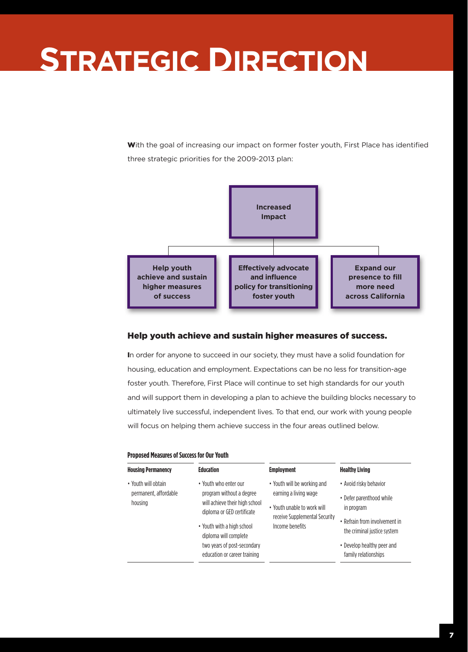# **Strategic Direction**

With the goal of increasing our impact on former foster youth, First Place has identified three strategic priorities for the 2009-2013 plan:



# Help youth achieve and sustain higher measures of success.

In order for anyone to succeed in our society, they must have a solid foundation for housing, education and employment. Expectations can be no less for transition-age foster youth. Therefore, First Place will continue to set high standards for our youth and will support them in developing a plan to achieve the building blocks necessary to ultimately live successful, independent lives. To that end, our work with young people will focus on helping them achieve success in the four areas outlined below.

# **Proposed Measures of Success for Our Youth**

| <b>Housing Permanency</b><br>• Youth will obtain<br>permanent, affordable<br>housing | <b>Education</b><br>• Youth who enter our<br>program without a degree<br>will achieve their high school<br>diploma or GED certificate<br>• Youth with a high school<br>diploma will complete<br>two years of post-secondary | <b>Employment</b><br>• Youth will be working and<br>earning a living wage<br>. Youth unable to work will<br>receive Supplemental Security<br>Income benefits | <b>Healthy Living</b><br>• Avoid risky behavior<br>• Defer parenthood while<br>in program<br>• Refrain from involvement in<br>the criminal justice system<br>• Develop healthy peer and |
|--------------------------------------------------------------------------------------|-----------------------------------------------------------------------------------------------------------------------------------------------------------------------------------------------------------------------------|--------------------------------------------------------------------------------------------------------------------------------------------------------------|-----------------------------------------------------------------------------------------------------------------------------------------------------------------------------------------|
|                                                                                      | education or career training                                                                                                                                                                                                |                                                                                                                                                              | family relationships                                                                                                                                                                    |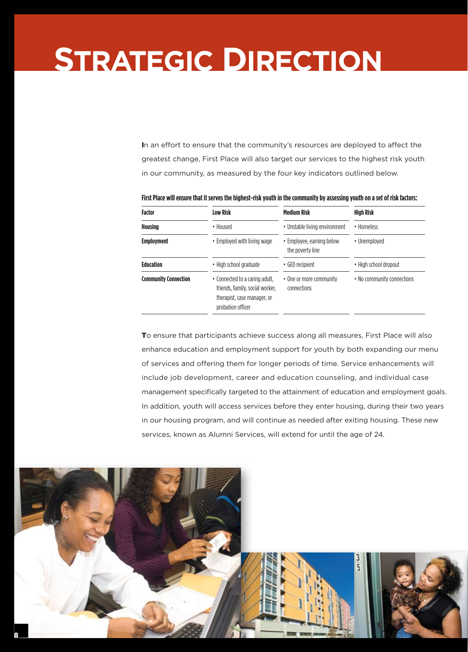# **Strategic Direction**

In an effort to ensure that the community's resources are deployed to affect the greatest change, First Place will also target our services to the highest risk youth in our community, as measured by the four key indicators outlined below.

| <b>Factor</b>                              | <b>Low Risk</b>                                                                                                       | <b>Medium Risk</b>                            | <b>High Risk</b><br>· Homeless |  |
|--------------------------------------------|-----------------------------------------------------------------------------------------------------------------------|-----------------------------------------------|--------------------------------|--|
| Housing                                    | • Housed                                                                                                              | • Unstable living environment                 |                                |  |
| <b>Employment</b>                          | • Employed with living wage                                                                                           | • Employee, earning below<br>the poverty line | • Unemploved                   |  |
| <b>Education</b><br>• High school graduate |                                                                                                                       | • GED recipient                               | • High school dropout          |  |
| <b>Community Connection</b>                | • Connected to a caring adult.<br>friends, family, social worker.<br>therapist, case manager, or<br>probation officer | • One or more community<br>connections        | • No community connections     |  |

**First Place will ensure that it serves the highest-risk youth in the community by assessing youth on a set of risk factors:**

To ensure that participants achieve success along all measures, First Place will also enhance education and employment support for youth by both expanding our menu of services and offering them for longer periods of time. Service enhancements will include job development, career and education counseling, and individual case management specifically targeted to the attainment of education and employment goals. In addition, youth will access services before they enter housing, during their two years in our housing program, and will continue as needed after exiting housing. These new services, known as Alumni Services, will extend for until the age of 24.

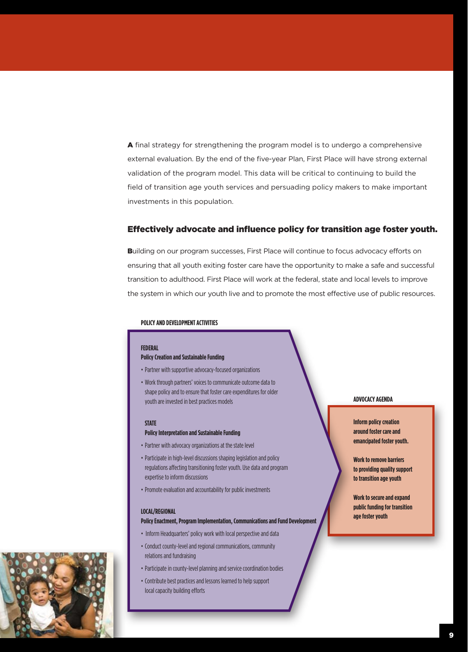A final strategy for strengthening the program model is to undergo a comprehensive external evaluation. By the end of the five-year Plan, First Place will have strong external validation of the program model. This data will be critical to continuing to build the field of transition age youth services and persuading policy makers to make important investments in this population.

# Effectively advocate and influence policy for transition age foster youth.

Building on our program successes, First Place will continue to focus advocacy efforts on ensuring that all youth exiting foster care have the opportunity to make a safe and successful transition to adulthood. First Place will work at the federal, state and local levels to improve the system in which our youth live and to promote the most effective use of public resources.

# **Policyand Development Activities**

## **FEDERAL**

# **Policy Creation and Sustainable Funding**

- Partner with supportive advocacy-focused organizations
- Work through partners' voices to communicate outcome data to shape policy and to ensure that foster care expenditures for older youth are invested in best practices models

#### **STATE**

## **Policy Interpretation and Sustainable Funding**

- Partner with advocacy organizations at the state level
- Participate in high-level discussions shaping legislation and policy regulations affecting transitioning foster youth. Use data and program expertise to inform discussions
- Promote evaluation and accountability for public investments

### **LOCAL/REGIONAL**

# **Policy Enactment, Program Implementation, Communications and Fund Development**

- Inform Headquarters' policy work with local perspective and data
- Conduct county-level and regional communications, community relations and fundraising
- Participate in county-level planning and service coordination bodies
- Contribute best practices and lessons learned to help support local capacity building efforts

# **ADVOCACY AGENDA**

**Inform policy creation around foster care and emancipated foster youth.**

**Work to remove barriers to providing quality support to transition age youth**

**Work to secure and expand public funding for transition age foster youth**

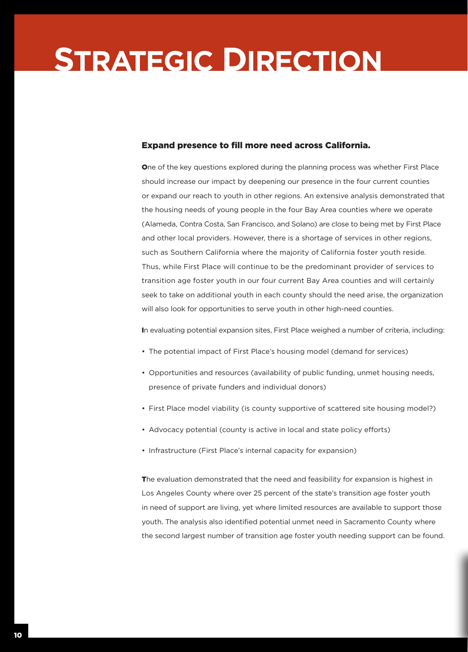# **Strategic Direction**

# Expand presence to fill more need across California.

One of the key questions explored during the planning process was whether First Place should increase our impact by deepening our presence in the four current counties or expand our reach to youth in other regions. An extensive analysis demonstrated that the housing needs of young people in the four Bay Area counties where we operate (Alameda, Contra Costa, San Francisco, and Solano) are close to being met by First Place and other local providers. However, there is a shortage of services in other regions, such as Southern California where the majority of California foster youth reside. Thus, while First Place will continue to be the predominant provider of services to transition age foster youth in our four current Bay Area counties and will certainly seek to take on additional youth in each county should the need arise, the organization will also look for opportunities to serve youth in other high-need counties.

In evaluating potential expansion sites, First Place weighed a number of criteria, including:

- • The potential impact of First Place's housing model (demand for services)
- • Opportunities and resources (availability of public funding, unmet housing needs, presence of private funders and individual donors)
- First Place model viability (is county supportive of scattered site housing model?)
- Advocacy potential (county is active in local and state policy efforts)
- Infrastructure (First Place's internal capacity for expansion)

The evaluation demonstrated that the need and feasibility for expansion is highest in Los Angeles County where over 25 percent of the state's transition age foster youth in need of support are living, yet where limited resources are available to support those youth. The analysis also identified potential unmet need in Sacramento County where the second largest number of transition age foster youth needing support can be found.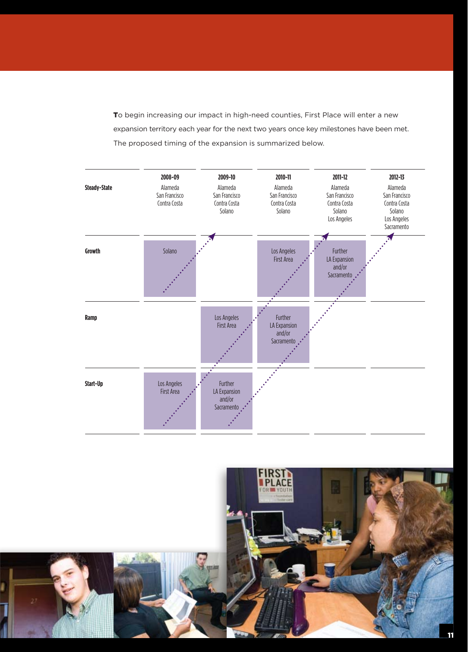To begin increasing our impact in high-need counties, First Place will enter a new expansion territory each year for the next two years once key milestones have been met. The proposed timing of the expansion is summarized below.



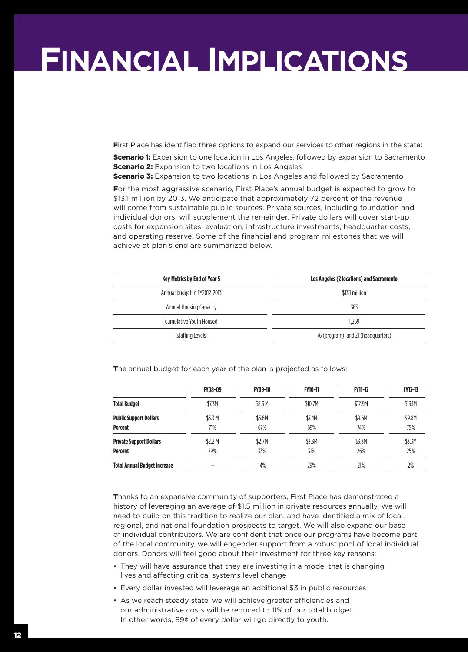# **Financial Implications**

First Place has identified three options to expand our services to other regions in the state:

**Scenario 1:** Expansion to one location in Los Angeles, followed by expansion to Sacramento **Scenario 2:** Expansion to two locations in Los Angeles

**Scenario 3:** Expansion to two locations in Los Angeles and followed by Sacramento

For the most aggressive scenario, First Place's annual budget is expected to grow to \$13.1 million by 2013. We anticipate that approximately 72 percent of the revenue will come from sustainable public sources. Private sources, including foundation and individual donors, will supplement the remainder. Private dollars will cover start-up costs for expansion sites, evaluation, infrastructure investments, headquarter costs, and operating reserve. Some of the financial and program milestones that we will achieve at plan's end are summarized below.

| <b>Key Metrics by End of Year 5</b> | Los Angeles (2 locations) and Sacramento |  |  |
|-------------------------------------|------------------------------------------|--|--|
| Annual budget in FY2012-2013        | \$13.1 million                           |  |  |
| Annual Housing Capacity             | 383                                      |  |  |
| Cumulative Youth Housed             | 1.269                                    |  |  |
| Staffing Levels                     | 76 (program) and 21 (headquarters)       |  |  |

The annual budget for each year of the plan is projected as follows:

|                                                  | <b>FY08-09</b> | <b>FY09-10</b> | <b>FY10-11</b> | <b>FY11-12</b> | <b>FY12-13</b> |
|--------------------------------------------------|----------------|----------------|----------------|----------------|----------------|
| <b>Total Budget</b>                              | \$7.3M         | \$8.3 M        | \$10.7M        | \$12.9M        | \$13.1M        |
| <b>Public Support Dollars</b><br><b>Percent</b>  | \$5.3 M<br>71% | \$5.6M<br>67%  | \$7.4M<br>69%  | \$9.6M<br>74%  | \$9.8M<br>75%  |
| <b>Private Support Dollars</b><br><b>Percent</b> | \$2.2M<br>29%  | \$2.7M<br>33%  | \$3.3M<br>31%  | \$3.3M<br>26%  | \$3.3M<br>25%  |
| <b>Total Annual Budget Increase</b>              |                | 14%            | 29%            | 21%            | 2%             |

Thanks to an expansive community of supporters, First Place has demonstrated a history of leveraging an average of \$1.5 million in private resources annually. We will need to build on this tradition to realize our plan, and have identified a mix of local, regional, and national foundation prospects to target. We will also expand our base of individual contributors. We are confident that once our programs have become part of the local community, we will engender support from a robust pool of local individual donors. Donors will feel good about their investment for three key reasons:

- They will have assurance that they are investing in a model that is changing lives and affecting critical systems level change
- Every dollar invested will leverage an additional \$3 in public resources
- As we reach steady state, we will achieve greater efficiencies and our administrative costs will be reduced to 11% of our total budget. In other words, 89¢ of every dollar will go directly to youth.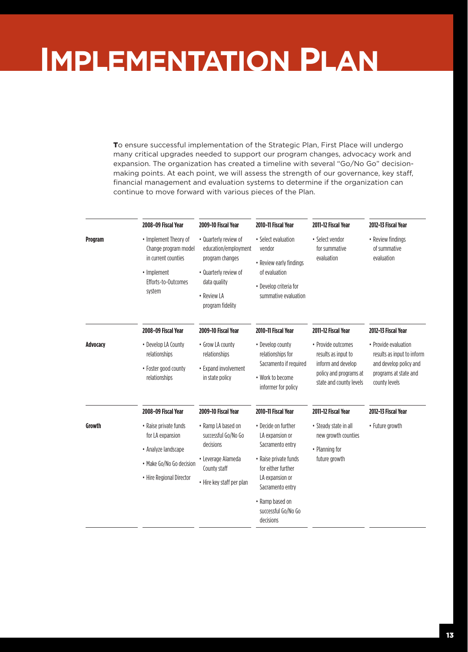# **Implementation Plan**

To ensure successful implementation of the Strategic Plan, First Place will undergo many critical upgrades needed to support our program changes, advocacy work and expansion. The organization has created a timeline with several "Go/No Go" decisionmaking points. At each point, we will assess the strength of our governance, key staff, financial management and evaluation systems to determine if the organization can continue to move forward with various pieces of the Plan.

|          | 2008-09 Fiscal Year                                                                                                      | 2009-10 Fiscal Year                                                                                                                          | 2010-11 Fiscal Year                                                                                                                                                                                     | 2011-12 Fiscal Year                                                                                                  | 2012-13 Fiscal Year                                                                                                    |
|----------|--------------------------------------------------------------------------------------------------------------------------|----------------------------------------------------------------------------------------------------------------------------------------------|---------------------------------------------------------------------------------------------------------------------------------------------------------------------------------------------------------|----------------------------------------------------------------------------------------------------------------------|------------------------------------------------------------------------------------------------------------------------|
| Program  | • Implement Theory of<br>Change program model<br>in current counties<br>• Implement<br>Efforts-to-Outcomes<br>system     | • Quarterly review of<br>education/employment<br>program changes<br>• Quarterly review of<br>data quality<br>• Review LA<br>program fidelity | • Select evaluation<br>vendor<br>• Review early findings<br>of evaluation<br>• Develop criteria for<br>summative evaluation                                                                             | • Select vendor<br>for summative<br>evaluation                                                                       | • Review findings<br>of summative<br>evaluation                                                                        |
|          | 2008-09 Fiscal Year                                                                                                      | 2009-10 Fiscal Year                                                                                                                          | 2010-11 Fiscal Year                                                                                                                                                                                     | 2011-12 Fiscal Year                                                                                                  | 2012-13 Fiscal Year                                                                                                    |
| Advocacy | • Develop LA County<br>relationships<br>• Foster good county<br>relationships                                            | • Grow LA county<br>relationships<br>• Expand involvement<br>in state policy                                                                 | • Develop county<br>relationships for<br>Sacramento if required<br>• Work to become<br>informer for policy                                                                                              | • Provide outcomes<br>results as input to<br>inform and develop<br>policy and programs at<br>state and county levels | • Provide evaluation<br>results as input to inform<br>and develop policy and<br>programs at state and<br>county levels |
|          | 2008-09 Fiscal Year                                                                                                      | 2009-10 Fiscal Year                                                                                                                          | 2010-11 Fiscal Year                                                                                                                                                                                     | 2011-12 Fiscal Year                                                                                                  | 2012-13 Fiscal Year                                                                                                    |
| Growth   | • Raise private funds<br>for LA expansion<br>• Analyze landscape<br>• Make Go/No Go decision<br>• Hire Regional Director | • Ramp LA based on<br>successful Go/No Go<br>decisions<br>• Leverage Alameda<br>County staff<br>• Hire key staff per plan                    | • Decide on further<br>LA expansion or<br>Sacramento entry<br>• Raise private funds<br>for either further<br>LA expansion or<br>Sacramento entry<br>• Ramp based on<br>successful Go/No Go<br>decisions | • Steady state in all<br>new growth counties<br>• Planning for<br>future growth                                      | • Future growth                                                                                                        |